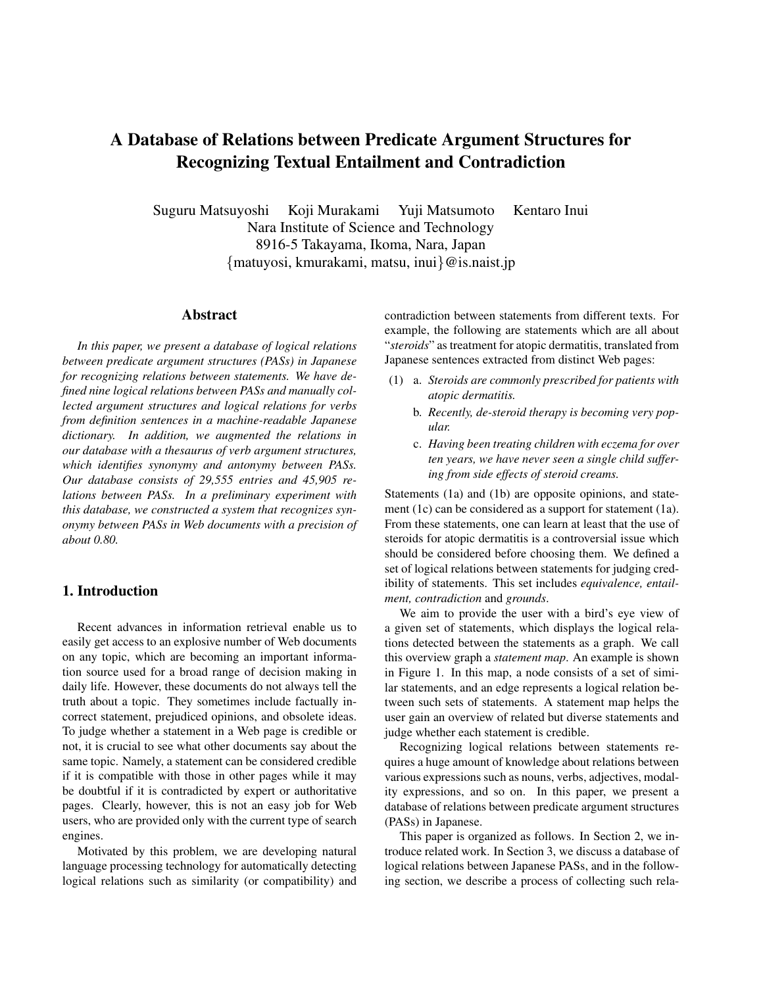# A Database of Relations between Predicate Argument Structures for Recognizing Textual Entailment and Contradiction

Suguru Matsuyoshi Koji Murakami Yuji Matsumoto Kentaro Inui Nara Institute of Science and Technology 8916-5 Takayama, Ikoma, Nara, Japan *{*matuyosi, kmurakami, matsu, inui*}*@is.naist.jp

# Abstract

*In this paper, we present a database of logical relations between predicate argument structures (PASs) in Japanese for recognizing relations between statements. We have defined nine logical relations between PASs and manually collected argument structures and logical relations for verbs from definition sentences in a machine-readable Japanese dictionary. In addition, we augmented the relations in our database with a thesaurus of verb argument structures, which identifies synonymy and antonymy between PASs. Our database consists of 29,555 entries and 45,905 relations between PASs. In a preliminary experiment with this database, we constructed a system that recognizes synonymy between PASs in Web documents with a precision of about 0.80.*

# 1. Introduction

Recent advances in information retrieval enable us to easily get access to an explosive number of Web documents on any topic, which are becoming an important information source used for a broad range of decision making in daily life. However, these documents do not always tell the truth about a topic. They sometimes include factually incorrect statement, prejudiced opinions, and obsolete ideas. To judge whether a statement in a Web page is credible or not, it is crucial to see what other documents say about the same topic. Namely, a statement can be considered credible if it is compatible with those in other pages while it may be doubtful if it is contradicted by expert or authoritative pages. Clearly, however, this is not an easy job for Web users, who are provided only with the current type of search engines.

Motivated by this problem, we are developing natural language processing technology for automatically detecting logical relations such as similarity (or compatibility) and

contradiction between statements from different texts. For example, the following are statements which are all about "*steroids*" as treatment for atopic dermatitis, translated from Japanese sentences extracted from distinct Web pages:

- (1) a. *Steroids are commonly prescribed for patients with atopic dermatitis.*
	- b. *Recently, de-steroid therapy is becoming very popular.*
	- c. *Having been treating children with eczema for over ten years, we have never seen a single child suffering from side effects of steroid creams.*

Statements (1a) and (1b) are opposite opinions, and statement (1c) can be considered as a support for statement (1a). From these statements, one can learn at least that the use of steroids for atopic dermatitis is a controversial issue which should be considered before choosing them. We defined a set of logical relations between statements for judging credibility of statements. This set includes *equivalence, entailment, contradiction* and *grounds*.

We aim to provide the user with a bird's eye view of a given set of statements, which displays the logical relations detected between the statements as a graph. We call this overview graph a *statement map*. An example is shown in Figure 1. In this map, a node consists of a set of similar statements, and an edge represents a logical relation between such sets of statements. A statement map helps the user gain an overview of related but diverse statements and judge whether each statement is credible.

Recognizing logical relations between statements requires a huge amount of knowledge about relations between various expressions such as nouns, verbs, adjectives, modality expressions, and so on. In this paper, we present a database of relations between predicate argument structures (PASs) in Japanese.

This paper is organized as follows. In Section 2, we introduce related work. In Section 3, we discuss a database of logical relations between Japanese PASs, and in the following section, we describe a process of collecting such rela-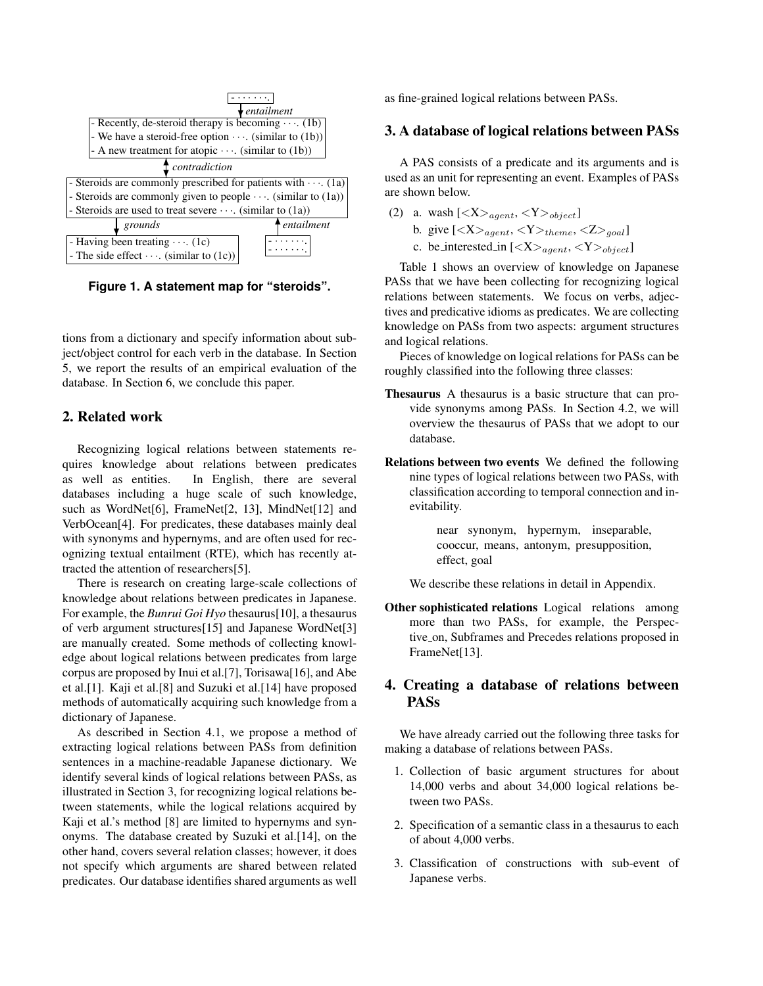

**Figure 1. A statement map for "steroids".**

tions from a dictionary and specify information about subject/object control for each verb in the database. In Section 5, we report the results of an empirical evaluation of the database. In Section 6, we conclude this paper.

# 2. Related work

Recognizing logical relations between statements requires knowledge about relations between predicates as well as entities. In English, there are several databases including a huge scale of such knowledge, such as WordNet[6], FrameNet[2, 13], MindNet[12] and VerbOcean[4]. For predicates, these databases mainly deal with synonyms and hypernyms, and are often used for recognizing textual entailment (RTE), which has recently attracted the attention of researchers[5].

There is research on creating large-scale collections of knowledge about relations between predicates in Japanese. For example, the *Bunrui Goi Hyo* thesaurus[10], a thesaurus of verb argument structures[15] and Japanese WordNet[3] are manually created. Some methods of collecting knowledge about logical relations between predicates from large corpus are proposed by Inui et al.[7], Torisawa[16], and Abe et al.[1]. Kaji et al.[8] and Suzuki et al.[14] have proposed methods of automatically acquiring such knowledge from a dictionary of Japanese.

As described in Section 4.1, we propose a method of extracting logical relations between PASs from definition sentences in a machine-readable Japanese dictionary. We identify several kinds of logical relations between PASs, as illustrated in Section 3, for recognizing logical relations between statements, while the logical relations acquired by Kaji et al.'s method [8] are limited to hypernyms and synonyms. The database created by Suzuki et al.[14], on the other hand, covers several relation classes; however, it does not specify which arguments are shared between related predicates. Our database identifies shared arguments as well

as fine-grained logical relations between PASs.

# 3. A database of logical relations between PASs

A PAS consists of a predicate and its arguments and is used as an unit for representing an event. Examples of PASs are shown below.

- (2) a. wash  $[\langle X \rangle_{agent}, \langle Y \rangle_{object}]$ 
	- b. give  $\left[ \langle X \rangle_{agent}, \langle Y \rangle_{them} , \langle Z \rangle_{goal} \right]$
	- c. be interested in  $\left[ \langle X \rangle_{agent}, \langle Y \rangle_{object} \right]$

Table 1 shows an overview of knowledge on Japanese PASs that we have been collecting for recognizing logical relations between statements. We focus on verbs, adjectives and predicative idioms as predicates. We are collecting knowledge on PASs from two aspects: argument structures and logical relations.

Pieces of knowledge on logical relations for PASs can be roughly classified into the following three classes:

- Thesaurus A thesaurus is a basic structure that can provide synonyms among PASs. In Section 4.2, we will overview the thesaurus of PASs that we adopt to our database.
- Relations between two events We defined the following nine types of logical relations between two PASs, with classification according to temporal connection and inevitability.

near synonym, hypernym, inseparable, cooccur, means, antonym, presupposition, effect, goal

We describe these relations in detail in Appendix.

Other sophisticated relations Logical relations among more than two PASs, for example, the Perspective on, Subframes and Precedes relations proposed in FrameNet[13].

# 4. Creating a database of relations between PASs

We have already carried out the following three tasks for making a database of relations between PASs.

- 1. Collection of basic argument structures for about 14,000 verbs and about 34,000 logical relations between two PASs.
- 2. Specification of a semantic class in a thesaurus to each of about 4,000 verbs.
- 3. Classification of constructions with sub-event of Japanese verbs.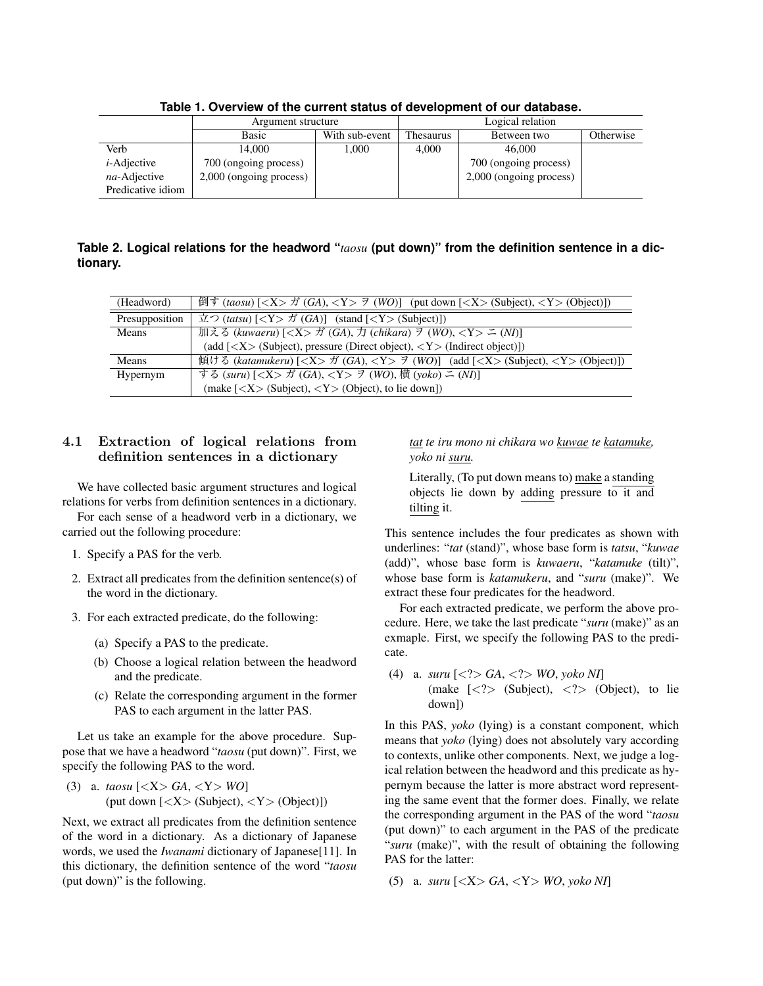|                   | Argument structure      |                | Logical relation |                         |           |
|-------------------|-------------------------|----------------|------------------|-------------------------|-----------|
|                   | Basic                   | With sub-event | <b>Thesaurus</b> | Between two             | Otherwise |
| Verb              | 14.000                  | 1,000          | 4,000            | 46,000                  |           |
| $i$ -Adjective    | 700 (ongoing process)   |                |                  | 700 (ongoing process)   |           |
| na-Adjective      | 2,000 (ongoing process) |                |                  | 2,000 (ongoing process) |           |
| Predicative idiom |                         |                |                  |                         |           |

**Table 1. Overview of the current status of development of our database.**

**Table 2. Logical relations for the headword "***taosu* **(put down)" from the definition sentence in a dictionary.**

| (Headword)     | 倒す (taosu) [ <x> ガ (GA), <y> ラ (WO)] (put down [<x> (Subject), <y> (Object)])</y></x></y></x>                                                                                                                                                     |
|----------------|---------------------------------------------------------------------------------------------------------------------------------------------------------------------------------------------------------------------------------------------------|
| Presupposition | $\dot{\mathbb{Z}}$ ( <i>tatsu</i> ) $\left[ \langle Y \rangle \dot{\mathcal{J}} \right]$ ( <i>GA</i> ) $\left[ \langle Y \rangle \right]$ ( <i>stand</i> $\left[ \langle Y \rangle \right]$ ( <i>Subject</i> ) $\left[ \langle Y \rangle \right]$ |
| Means          | 加える (kuwaeru) $[\langle X \rangle \nrightarrow$ (GA), $\frac{1}{\sqrt{2}}$ (chikara) $\frac{3}{\sqrt{2}}$ (WO), $\langle Y \rangle \stackrel{1}{\sim}$ (NI)]                                                                                      |
|                | (add $[<\!\!X\!\!>$ (Subject), pressure (Direct object), $<\!\!Y\!\!>$ (Indirect object)])                                                                                                                                                        |
| Means          | 傾ける (katamukeru) [ <x> ガ (GA), <y> ラ (WO)] (add [<x> (Subject), <y> (Object)])</y></x></y></x>                                                                                                                                                    |
| Hypernym       | する (suru) [ <x> ガ (GA), <y> ヲ (WO), 横 (yoko) ニ (NI)]</y></x>                                                                                                                                                                                      |
|                | (make $\left[ \langle X \rangle \right]$ (Subject), $\langle Y \rangle$ (Object), to lie down])                                                                                                                                                   |

# **4.1 Extraction of logical relations from definition sentences in a dictionary**

We have collected basic argument structures and logical relations for verbs from definition sentences in a dictionary.

For each sense of a headword verb in a dictionary, we carried out the following procedure:

- 1. Specify a PAS for the verb.
- 2. Extract all predicates from the definition sentence(s) of the word in the dictionary.
- 3. For each extracted predicate, do the following:
	- (a) Specify a PAS to the predicate.
	- (b) Choose a logical relation between the headword and the predicate.
	- (c) Relate the corresponding argument in the former PAS to each argument in the latter PAS.

Let us take an example for the above procedure. Suppose that we have a headword "*taosu* (put down)". First, we specify the following PAS to the word.

(3) a. 
$$
taosu
$$
 [ $\langle X \rangle$  GA,  $\langle Y \rangle$  WO] (put down [ $\langle X \rangle$  (Subject),  $\langle Y \rangle$  (Object)])

Next, we extract all predicates from the definition sentence of the word in a dictionary. As a dictionary of Japanese words, we used the *Iwanami* dictionary of Japanese[11]. In this dictionary, the definition sentence of the word "*taosu* (put down)" is the following.

*tat te iru mono ni chikara wo kuwae te katamuke, yoko ni suru.*

Literally, (To put down means to) make a standing objects lie down by adding pressure to it and tilting it.

This sentence includes the four predicates as shown with underlines: "*tat* (stand)", whose base form is *tatsu*, "*kuwae* (add)", whose base form is *kuwaeru*, "*katamuke* (tilt)", whose base form is *katamukeru*, and "*suru* (make)". We extract these four predicates for the headword.

For each extracted predicate, we perform the above procedure. Here, we take the last predicate "*suru* (make)" as an exmaple. First, we specify the following PAS to the predicate.

(4) a. *suru* [*<*?*> GA*, *<*?*> WO*, *yoko NI*] (make [*<*?*>* (Subject), *<*?*>* (Object), to lie down])

In this PAS, *yoko* (lying) is a constant component, which means that *yoko* (lying) does not absolutely vary according to contexts, unlike other components. Next, we judge a logical relation between the headword and this predicate as hypernym because the latter is more abstract word representing the same event that the former does. Finally, we relate the corresponding argument in the PAS of the word "*taosu* (put down)" to each argument in the PAS of the predicate "*suru* (make)", with the result of obtaining the following PAS for the latter:

(5) a. *suru* [*<*X*> GA*, *<*Y*> WO*, *yoko NI*]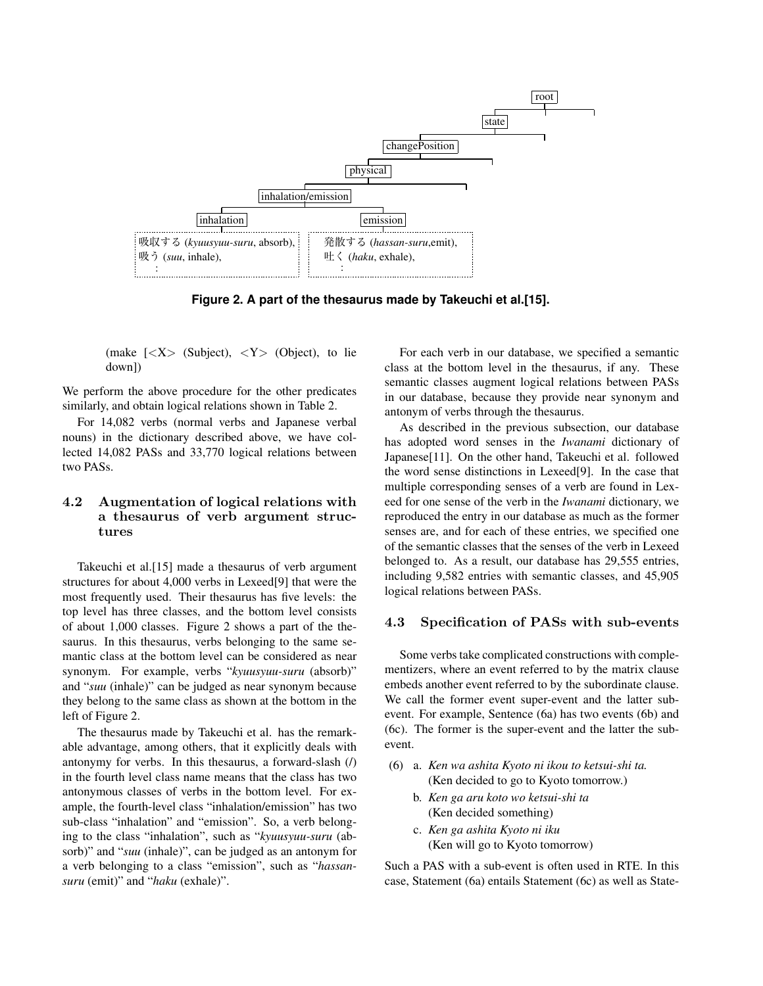

**Figure 2. A part of the thesaurus made by Takeuchi et al.[15].**

(make [*<*X*>* (Subject), *<*Y*>* (Object), to lie down])

We perform the above procedure for the other predicates similarly, and obtain logical relations shown in Table 2.

For 14,082 verbs (normal verbs and Japanese verbal nouns) in the dictionary described above, we have collected 14,082 PASs and 33,770 logical relations between two PASs.

#### **4.2 Augmentation of logical relations with a thesaurus of verb argument structures**

Takeuchi et al.[15] made a thesaurus of verb argument structures for about 4,000 verbs in Lexeed[9] that were the most frequently used. Their thesaurus has five levels: the top level has three classes, and the bottom level consists of about 1,000 classes. Figure 2 shows a part of the thesaurus. In this thesaurus, verbs belonging to the same semantic class at the bottom level can be considered as near synonym. For example, verbs "*kyuusyuu-suru* (absorb)" and "*suu* (inhale)" can be judged as near synonym because they belong to the same class as shown at the bottom in the left of Figure 2.

The thesaurus made by Takeuchi et al. has the remarkable advantage, among others, that it explicitly deals with antonymy for verbs. In this thesaurus, a forward-slash (/) in the fourth level class name means that the class has two antonymous classes of verbs in the bottom level. For example, the fourth-level class "inhalation/emission" has two sub-class "inhalation" and "emission". So, a verb belonging to the class "inhalation", such as "*kyuusyuu-suru* (absorb)" and "*suu* (inhale)", can be judged as an antonym for a verb belonging to a class "emission", such as "*hassansuru* (emit)" and "*haku* (exhale)".

For each verb in our database, we specified a semantic class at the bottom level in the thesaurus, if any. These semantic classes augment logical relations between PASs in our database, because they provide near synonym and antonym of verbs through the thesaurus.

As described in the previous subsection, our database has adopted word senses in the *Iwanami* dictionary of Japanese[11]. On the other hand, Takeuchi et al. followed the word sense distinctions in Lexeed[9]. In the case that multiple corresponding senses of a verb are found in Lexeed for one sense of the verb in the *Iwanami* dictionary, we reproduced the entry in our database as much as the former senses are, and for each of these entries, we specified one of the semantic classes that the senses of the verb in Lexeed belonged to. As a result, our database has 29,555 entries, including 9,582 entries with semantic classes, and 45,905 logical relations between PASs.

# **4.3 Specification of PASs with sub-events**

Some verbs take complicated constructions with complementizers, where an event referred to by the matrix clause embeds another event referred to by the subordinate clause. We call the former event super-event and the latter subevent. For example, Sentence (6a) has two events (6b) and (6c). The former is the super-event and the latter the subevent.

- (6) a. *Ken wa ashita Kyoto ni ikou to ketsui-shi ta.* (Ken decided to go to Kyoto tomorrow.)
	- b. *Ken ga aru koto wo ketsui-shi ta* (Ken decided something)
	- c. *Ken ga ashita Kyoto ni iku* (Ken will go to Kyoto tomorrow)

Such a PAS with a sub-event is often used in RTE. In this case, Statement (6a) entails Statement (6c) as well as State-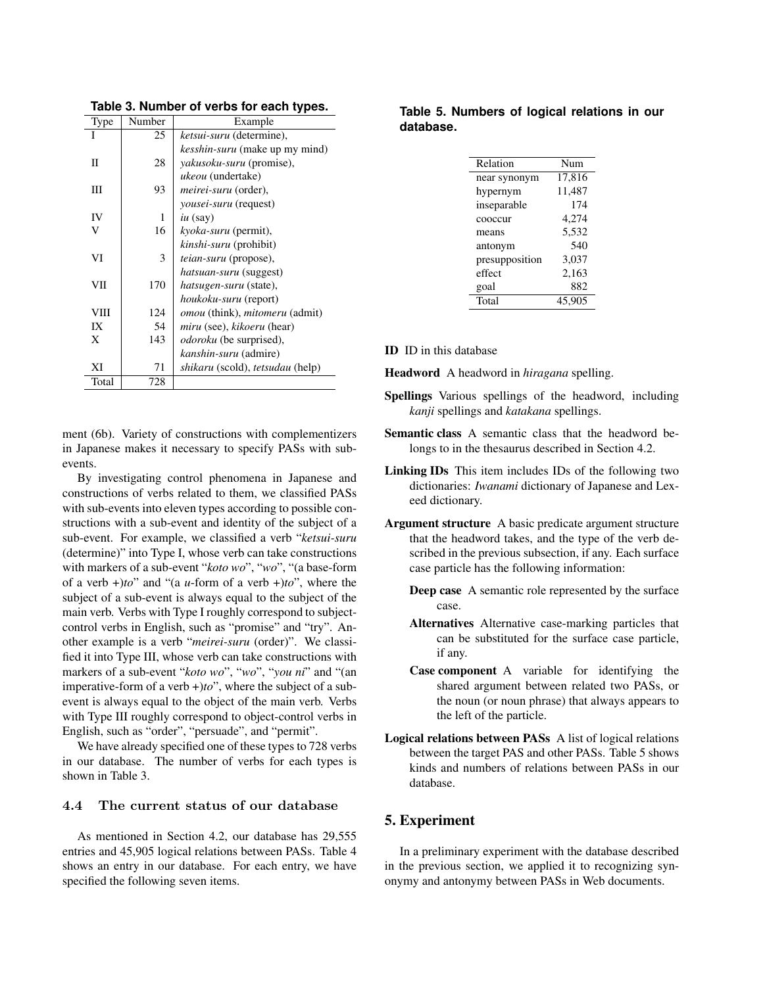| Number | Example                                        |
|--------|------------------------------------------------|
| 25     | ketsui-suru (determine),                       |
|        | kesshin-suru (make up my mind)                 |
| 28     | <i>yakusoku-suru</i> (promise),                |
|        | <i>ukeou</i> (undertake)                       |
| 93     | <i>meirei-suru</i> (order),                    |
|        | <i>vousei-suru</i> (request)                   |
| 1      | $iu$ (say)                                     |
| 16     | <i>kyoka-suru</i> (permit),                    |
|        | <i>kinshi-suru</i> (prohibit)                  |
| 3      | <i>teian-suru</i> (propose),                   |
|        | <i>hatsuan-suru</i> (suggest)                  |
| 170    | hatsugen-suru (state),                         |
|        | houkoku-suru (report)                          |
| 124    | <i>omou</i> (think), <i>mitomeru</i> (admit)   |
| 54     | <i>miru</i> (see), <i>kikoeru</i> (hear)       |
| 143    | <i>odoroku</i> (be surprised),                 |
|        | <i>kanshin-suru</i> (admire)                   |
| 71     | <i>shikaru</i> (scold), <i>tetsudau</i> (help) |
| 728    |                                                |
|        |                                                |

**Table 3. Number of verbs for each types.**

ment (6b). Variety of constructions with complementizers in Japanese makes it necessary to specify PASs with subevents.

By investigating control phenomena in Japanese and constructions of verbs related to them, we classified PASs with sub-events into eleven types according to possible constructions with a sub-event and identity of the subject of a sub-event. For example, we classified a verb "*ketsui-suru* (determine)" into Type I, whose verb can take constructions with markers of a sub-event "*koto wo*", "*wo*", "(a base-form of a verb +)*to*" and "(a *u*-form of a verb +)*to*", where the subject of a sub-event is always equal to the subject of the main verb. Verbs with Type I roughly correspond to subjectcontrol verbs in English, such as "promise" and "try". Another example is a verb "*meirei-suru* (order)". We classified it into Type III, whose verb can take constructions with markers of a sub-event "*koto wo*", "*wo*", "*you ni*" and "(an imperative-form of a verb +)*to*", where the subject of a subevent is always equal to the object of the main verb. Verbs with Type III roughly correspond to object-control verbs in English, such as "order", "persuade", and "permit".

We have already specified one of these types to 728 verbs in our database. The number of verbs for each types is shown in Table 3.

# **4.4 The current status of our database**

As mentioned in Section 4.2, our database has 29,555 entries and 45,905 logical relations between PASs. Table 4 shows an entry in our database. For each entry, we have specified the following seven items.

#### **Table 5. Numbers of logical relations in our database.**

| Relation       | Num    |  |
|----------------|--------|--|
| near synonym   | 17,816 |  |
| hypernym       | 11,487 |  |
| inseparable    | 174    |  |
| cooccur        | 4,274  |  |
| means          | 5,532  |  |
| antonym        | 540    |  |
| presupposition | 3,037  |  |
| effect         | 2,163  |  |
| goal           | 882    |  |
| Total          | 45.905 |  |
|                |        |  |

ID ID in this database

Headword A headword in *hiragana* spelling.

- Spellings Various spellings of the headword, including *kanji* spellings and *katakana* spellings.
- Semantic class A semantic class that the headword belongs to in the thesaurus described in Section 4.2.
- Linking IDs This item includes IDs of the following two dictionaries: *Iwanami* dictionary of Japanese and Lexeed dictionary.
- Argument structure A basic predicate argument structure that the headword takes, and the type of the verb described in the previous subsection, if any. Each surface case particle has the following information:
	- Deep case A semantic role represented by the surface case.
	- Alternatives Alternative case-marking particles that can be substituted for the surface case particle, if any.
	- Case component A variable for identifying the shared argument between related two PASs, or the noun (or noun phrase) that always appears to the left of the particle.
- Logical relations between PASs A list of logical relations between the target PAS and other PASs. Table 5 shows kinds and numbers of relations between PASs in our database.

#### 5. Experiment

In a preliminary experiment with the database described in the previous section, we applied it to recognizing synonymy and antonymy between PASs in Web documents.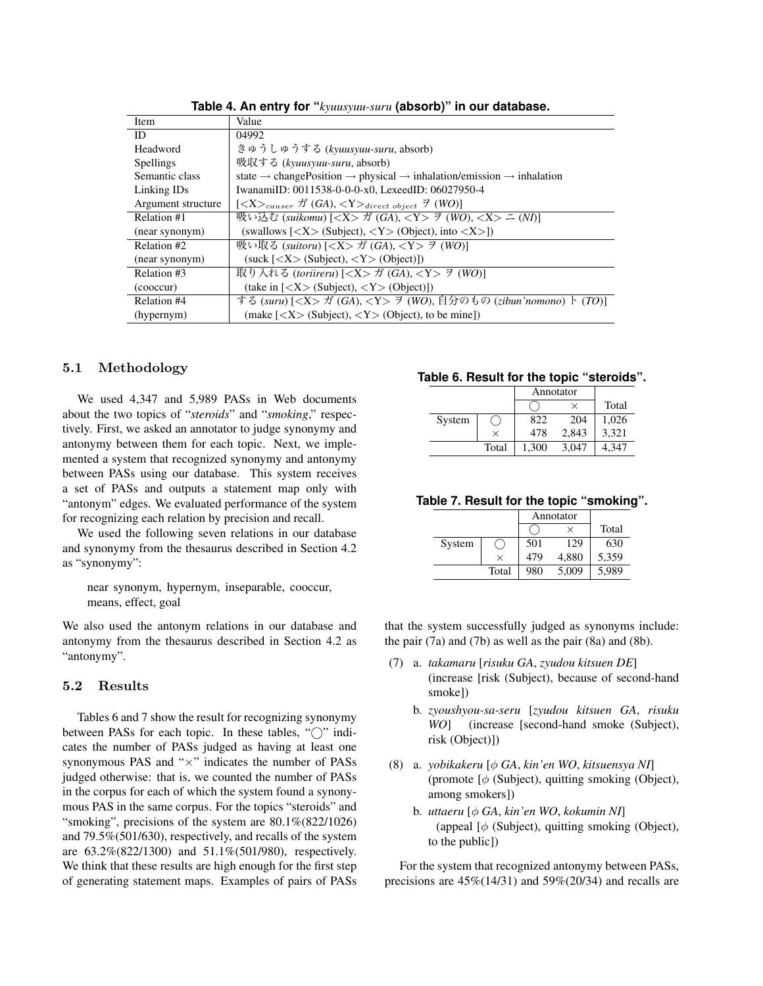| <b>Item</b>        | Value                                                                                                                 |
|--------------------|-----------------------------------------------------------------------------------------------------------------------|
| ID                 | 04992                                                                                                                 |
| Headword           | きゅうしゅうする (kyuusyuu-suru, absorb)                                                                                      |
| <b>Spellings</b>   | 吸収する (kyuusyuu-suru, absorb)                                                                                          |
| Semantic class     | state $\rightarrow$ change Position $\rightarrow$ physical $\rightarrow$ inhalation/emission $\rightarrow$ inhalation |
| Linking IDs        | IwanamiID: 0011538-0-0-0-x0. LexeedID: 06027950-4                                                                     |
| Argument structure |                                                                                                                       |
| Relation #1        | 吸い込む (suikomu) [ <x> ガ (GA), <y> ヲ (WO), <x> ニ (NI)]</x></y></x>                                                      |
| (near synonym)     | (swallows $\left[ \langle X \rangle \right]$ (Subject), $\langle Y \rangle$ (Object), into $\langle X \rangle$ ])     |
| Relation #2        | 吸い取る (suitoru) [ <x> ガ (GA), <y> ヲ (WO)]</y></x>                                                                      |
| (near synonym)     | $(suck \, [  Subject),  (Object)])$                                                                                   |
| Relation #3        | 取り入れる (toriireru) [ <x> ガ (GA), <y> ヲ (WO)]</y></x>                                                                   |
| (cooccur)          | (take in $\left[ \langle X \rangle \right]$ (Subject), $\langle Y \rangle$ (Object)])                                 |
| Relation #4        | する (suru) $[<\!\!X\!\!>$ ガ (GA), $<\!\!Y\!\!>$ ヲ (WO), 自分のもの (zibun'nomono) ト (TO)]                                   |
| (hypernym)         | (make $\left[ \langle X \rangle \right]$ (Subject), $\langle Y \rangle$ (Object), to be mine])                        |

**Table 4. An entry for "***kyuusyuu-suru* **(absorb)" in our database.**

#### **5.1 Methodology**

We used 4,347 and 5,989 PASs in Web documents about the two topics of "*steroids*" and "*smoking*," respectively. First, we asked an annotator to judge synonymy and antonymy between them for each topic. Next, we implemented a system that recognized synonymy and antonymy between PASs using our database. This system receives a set of PASs and outputs a statement map only with "antonym" edges. We evaluated performance of the system for recognizing each relation by precision and recall.

We used the following seven relations in our database and synonymy from the thesaurus described in Section 4.2 as "synonymy":

near synonym, hypernym, inseparable, cooccur, means, effect, goal

We also used the antonym relations in our database and antonymy from the thesaurus described in Section 4.2 as "antonymy".

#### **5.2 Results**

Tables 6 and 7 show the result for recognizing synonymy between PASs for each topic. In these tables, "<sup>o</sup>" indicates the number of PASs judged as having at least one synonymous PAS and "*×*" indicates the number of PASs judged otherwise: that is, we counted the number of PASs in the corpus for each of which the system found a synonymous PAS in the same corpus. For the topics "steroids" and "smoking", precisions of the system are  $80.1\%$  (822/1026) and 79.5%(501/630), respectively, and recalls of the system are 63.2%(822/1300) and 51.1%(501/980), respectively. We think that these results are high enough for the first step of generating statement maps. Examples of pairs of PASs

#### **Table 6. Result for the topic "steroids".**

|        |          | Annotator |       |       |
|--------|----------|-----------|-------|-------|
|        |          |           |       | Total |
| System |          | 822       | 204   | 1,026 |
|        | $\times$ | 478       | 2,843 | 3,321 |
|        | Total    | 1,300     | 3,047 | 4.347 |

**Table 7. Result for the topic "smoking".**

|        |       | Annotator |       |       |
|--------|-------|-----------|-------|-------|
|        |       |           | ×     | Total |
| System |       | 501       | 129   | 630   |
|        | ×     | 479       | 4,880 | 5,359 |
|        | Total | 980       | 5,009 | 5,989 |

that the system successfully judged as synonyms include: the pair (7a) and (7b) as well as the pair (8a) and (8b).

- (7) a. *takamaru* [*risuku GA*, *zyudou kitsuen DE*] (increase [risk (Subject), because of second-hand smoke])
	- b. *zyoushyou-sa-seru* [*zyudou kitsuen GA*, *risuku WO*] (increase [second-hand smoke (Subject), risk (Object)])
- (8) a. *yobikakeru* [*φ GA*, *kin'en WO*, *kitsuensya NI*] (promote [*φ* (Subject), quitting smoking (Object), among smokers])
	- b. *uttaeru* [*φ GA*, *kin'en WO*, *kokumin NI*] (appeal [*φ* (Subject), quitting smoking (Object), to the public])

For the system that recognized antonymy between PASs, precisions are  $45\%(14/31)$  and  $59\%(20/34)$  and recalls are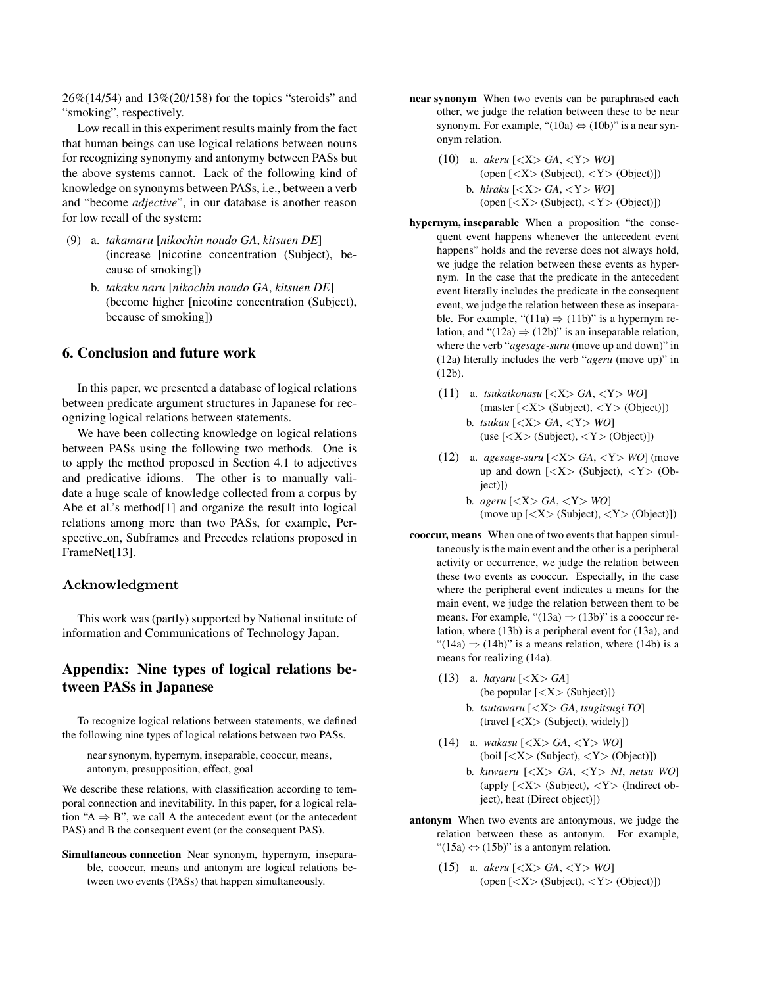26%(14/54) and 13%(20/158) for the topics "steroids" and "smoking", respectively.

Low recall in this experiment results mainly from the fact that human beings can use logical relations between nouns for recognizing synonymy and antonymy between PASs but the above systems cannot. Lack of the following kind of knowledge on synonyms between PASs, i.e., between a verb and "become *adjective*", in our database is another reason for low recall of the system:

- (9) a. *takamaru* [*nikochin noudo GA*, *kitsuen DE*] (increase [nicotine concentration (Subject), because of smoking])
	- b. *takaku naru* [*nikochin noudo GA*, *kitsuen DE*] (become higher [nicotine concentration (Subject), because of smoking])

# 6. Conclusion and future work

In this paper, we presented a database of logical relations between predicate argument structures in Japanese for recognizing logical relations between statements.

We have been collecting knowledge on logical relations between PASs using the following two methods. One is to apply the method proposed in Section 4.1 to adjectives and predicative idioms. The other is to manually validate a huge scale of knowledge collected from a corpus by Abe et al.'s method[1] and organize the result into logical relations among more than two PASs, for example, Perspective on, Subframes and Precedes relations proposed in FrameNet[13].

#### **Acknowledgment**

This work was (partly) supported by National institute of information and Communications of Technology Japan.

# Appendix: Nine types of logical relations between PASs in Japanese

To recognize logical relations between statements, we defined the following nine types of logical relations between two PASs.

near synonym, hypernym, inseparable, cooccur, means, antonym, presupposition, effect, goal

We describe these relations, with classification according to temporal connection and inevitability. In this paper, for a logical relation "A *⇒* B", we call A the antecedent event (or the antecedent PAS) and B the consequent event (or the consequent PAS).

Simultaneous connection Near synonym, hypernym, inseparable, cooccur, means and antonym are logical relations between two events (PASs) that happen simultaneously.

- near synonym When two events can be paraphrased each other, we judge the relation between these to be near synonym. For example, "(10a) *⇔* (10b)" is a near synonym relation.
	- (10) a. *akeru* [*<*X*> GA*, *<*Y*> WO*] (open [*<*X*>* (Subject), *<*Y*>* (Object)]) b. *hiraku* [*<*X*> GA*, *<*Y*> WO*] (open [*<*X*>* (Subject), *<*Y*>* (Object)])
- hypernym, inseparable When a proposition "the consequent event happens whenever the antecedent event happens" holds and the reverse does not always hold, we judge the relation between these events as hypernym. In the case that the predicate in the antecedent event literally includes the predicate in the consequent event, we judge the relation between these as inseparable. For example, " $(11a) \Rightarrow (11b)$ " is a hypernym relation, and " $(12a) \Rightarrow (12b)$ " is an inseparable relation, where the verb "*agesage-suru* (move up and down)" in (12a) literally includes the verb "*ageru* (move up)" in (12b).
	- (11) a. *tsukaikonasu* [*<*X*> GA*, *<*Y*> WO*] (master [*<*X*>* (Subject), *<*Y*>* (Object)]) b. *tsukau* [*<*X*> GA*, *<*Y*> WO*] (use [*<*X*>* (Subject), *<*Y*>* (Object)])
	- (12) a. *agesage-suru* [*<*X*> GA*, *<*Y*> WO*] (move up and down [*<*X*>* (Subject), *<*Y*>* (Object)])
		- b. *ageru* [*<*X*> GA*, *<*Y*> WO*] (move up [*<*X*>* (Subject), *<*Y*>* (Object)])
- cooccur, means When one of two events that happen simultaneously is the main event and the other is a peripheral activity or occurrence, we judge the relation between these two events as cooccur. Especially, in the case where the peripheral event indicates a means for the main event, we judge the relation between them to be means. For example, " $(13a) \Rightarrow (13b)$ " is a cooccur relation, where (13b) is a peripheral event for (13a), and "(14a)  $\Rightarrow$  (14b)" is a means relation, where (14b) is a means for realizing (14a).
	- (13) a. *hayaru* [*<*X*> GA*] (be popular [*<*X*>* (Subject)]) b. *tsutawaru* [*<*X*> GA*, *tsugitsugi TO*]
		- (travel [*<*X*>* (Subject), widely])
	- (14) a. *wakasu* [*<*X*> GA*, *<*Y*> WO*] (boil [*<*X*>* (Subject), *<*Y*>* (Object)]) b. *kuwaeru* [*<*X*> GA*, *<*Y*> NI*, *netsu WO*] (apply [*<*X*>* (Subject), *<*Y*>* (Indirect object), heat (Direct object)])
- antonym When two events are antonymous, we judge the relation between these as antonym. For example, "(15a) *⇔* (15b)" is a antonym relation.
	- (15) a. *akeru* [*<*X*> GA*, *<*Y*> WO*] (open [*<*X*>* (Subject), *<*Y*>* (Object)])